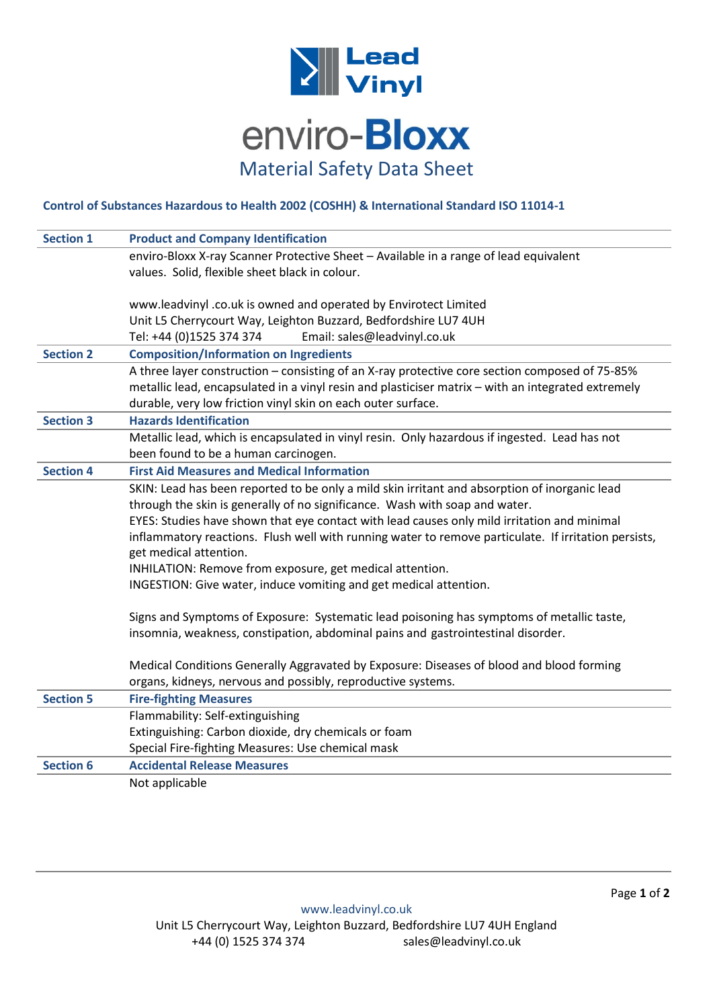

## **Control of Substances Hazardous to Health 2002 (COSHH) & International Standard ISO 11014-1**

| <b>Section 1</b> | <b>Product and Company Identification</b>                                                            |
|------------------|------------------------------------------------------------------------------------------------------|
|                  | enviro-Bloxx X-ray Scanner Protective Sheet - Available in a range of lead equivalent                |
|                  | values. Solid, flexible sheet black in colour.                                                       |
|                  |                                                                                                      |
|                  | www.leadvinyl .co.uk is owned and operated by Envirotect Limited                                     |
|                  | Unit L5 Cherrycourt Way, Leighton Buzzard, Bedfordshire LU7 4UH                                      |
|                  | Tel: +44 (0)1525 374 374<br>Email: sales@leadvinyl.co.uk                                             |
| <b>Section 2</b> | <b>Composition/Information on Ingredients</b>                                                        |
|                  | A three layer construction - consisting of an X-ray protective core section composed of 75-85%       |
|                  | metallic lead, encapsulated in a vinyl resin and plasticiser matrix - with an integrated extremely   |
|                  | durable, very low friction vinyl skin on each outer surface.                                         |
| <b>Section 3</b> | <b>Hazards Identification</b>                                                                        |
|                  | Metallic lead, which is encapsulated in vinyl resin. Only hazardous if ingested. Lead has not        |
|                  | been found to be a human carcinogen.                                                                 |
| <b>Section 4</b> | <b>First Aid Measures and Medical Information</b>                                                    |
|                  | SKIN: Lead has been reported to be only a mild skin irritant and absorption of inorganic lead        |
|                  | through the skin is generally of no significance. Wash with soap and water.                          |
|                  | EYES: Studies have shown that eye contact with lead causes only mild irritation and minimal          |
|                  | inflammatory reactions. Flush well with running water to remove particulate. If irritation persists, |
|                  | get medical attention.                                                                               |
|                  | INHILATION: Remove from exposure, get medical attention.                                             |
|                  | INGESTION: Give water, induce vomiting and get medical attention.                                    |
|                  | Signs and Symptoms of Exposure: Systematic lead poisoning has symptoms of metallic taste,            |
|                  | insomnia, weakness, constipation, abdominal pains and gastrointestinal disorder.                     |
|                  |                                                                                                      |
|                  | Medical Conditions Generally Aggravated by Exposure: Diseases of blood and blood forming             |
|                  | organs, kidneys, nervous and possibly, reproductive systems.                                         |
| <b>Section 5</b> | <b>Fire-fighting Measures</b>                                                                        |
|                  | Flammability: Self-extinguishing                                                                     |
|                  | Extinguishing: Carbon dioxide, dry chemicals or foam                                                 |
|                  | Special Fire-fighting Measures: Use chemical mask                                                    |
| <b>Section 6</b> | <b>Accidental Release Measures</b>                                                                   |
|                  | Not applicable                                                                                       |
|                  |                                                                                                      |